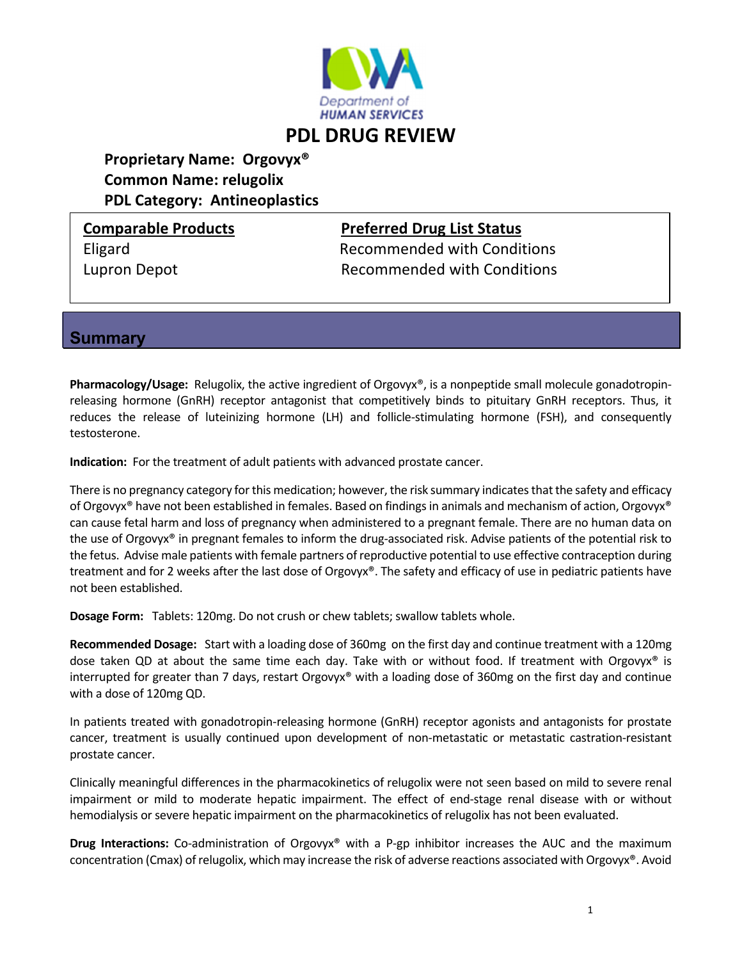

# **Proprietary Name: Orgovyx® Common Name: relugolix PDL Category: Antineoplastics**

## **Comparable Products Preferred Drug List Status**

Eligard Recommended with Conditions Lupron Depot **Recommended with Conditions** 

**Summary** 

**Pharmacology/Usage:** Relugolix, the active ingredient of Orgovyx<sup>®</sup>, is a nonpeptide small molecule gonadotropinreleasing hormone (GnRH) receptor antagonist that competitively binds to pituitary GnRH receptors. Thus, it reduces the release of luteinizing hormone (LH) and follicle-stimulating hormone (FSH), and consequently testosterone.

**Indication:** For the treatment of adult patients with advanced prostate cancer.

There is no pregnancy category for this medication; however, the risk summary indicates that the safety and efficacy of Orgovyx® have not been established in females. Based on findings in animals and mechanism of action, Orgovyx® can cause fetal harm and loss of pregnancy when administered to a pregnant female. There are no human data on the use of Orgovyx® in pregnant females to inform the drug-associated risk. Advise patients of the potential risk to the fetus. Advise male patients with female partners ofreproductive potential to use effective contraception during treatment and for 2 weeks after the last dose of Orgovyx®. The safety and efficacy of use in pediatric patients have not been established.

**Dosage Form:** Tablets: 120mg. Do not crush or chew tablets; swallow tablets whole.

**Recommended Dosage:** Start with a loading dose of 360mg on the first day and continue treatment with a 120mg dose taken QD at about the same time each day. Take with or without food. If treatment with Orgovyx® is interrupted for greater than 7 days, restart Orgovyx® with a loading dose of 360mg on the first day and continue with a dose of 120mg QD.

In patients treated with gonadotropin‐releasing hormone (GnRH) receptor agonists and antagonists for prostate cancer, treatment is usually continued upon development of non‐metastatic or metastatic castration‐resistant prostate cancer.

Clinically meaningful differences in the pharmacokinetics of relugolix were not seen based on mild to severe renal impairment or mild to moderate hepatic impairment. The effect of end‐stage renal disease with or without hemodialysis or severe hepatic impairment on the pharmacokinetics of relugolix has not been evaluated.

**Drug Interactions:** Co‐administration of Orgovyx® with a P‐gp inhibitor increases the AUC and the maximum concentration (Cmax) of relugolix, which may increase the risk of adverse reactions associated with Orgovyx®. Avoid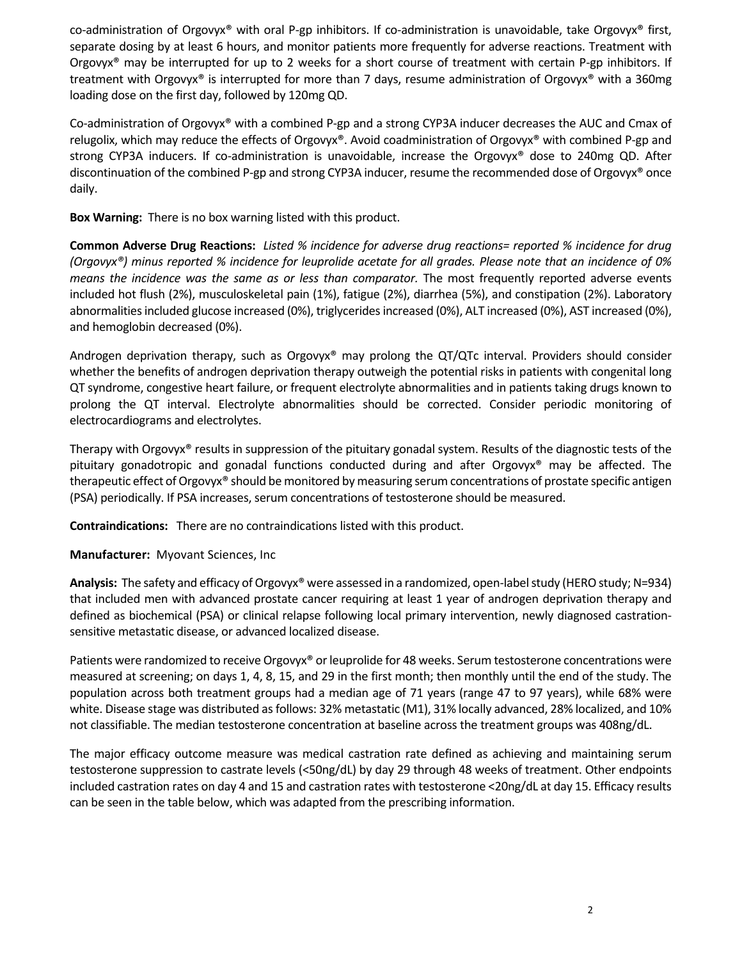co-administration of Orgovyx® with oral P-gp inhibitors. If co-administration is unavoidable, take Orgovyx® first, separate dosing by at least 6 hours, and monitor patients more frequently for adverse reactions. Treatment with Orgovyx® may be interrupted for up to 2 weeks for a short course of treatment with certain P‐gp inhibitors. If treatment with Orgovyx® is interrupted for more than 7 days, resume administration of Orgovyx® with a 360mg loading dose on the first day, followed by 120mg QD.

Co‐administration of Orgovyx® with a combined P‐gp and a strong CYP3A inducer decreases the AUC and Cmax of relugolix, which may reduce the effects of Orgovyx®. Avoid coadministration of Orgovyx® with combined P‐gp and strong CYP3A inducers. If co-administration is unavoidable, increase the Orgovyx<sup>®</sup> dose to 240mg QD. After discontinuation of the combined P‐gp and strong CYP3A inducer, resume the recommended dose of Orgovyx® once daily.

**Box Warning:** There is no box warning listed with this product.

Common Adverse Drug Reactions: Listed % incidence for adverse drug reactions= reported % incidence for drug (Orgovyx®) minus reported % incidence for leuprolide acetate for all grades. Please note that an incidence of 0% *means the incidence was the same as or less than comparator.* The most frequently reported adverse events included hot flush (2%), musculoskeletal pain (1%), fatigue (2%), diarrhea (5%), and constipation (2%). Laboratory abnormalities included glucose increased (0%), triglycerides increased (0%), ALT increased (0%), AST increased (0%), and hemoglobin decreased (0%).

Androgen deprivation therapy, such as Orgovyx<sup>®</sup> may prolong the QT/QTc interval. Providers should consider whether the benefits of androgen deprivation therapy outweigh the potential risks in patients with congenital long QT syndrome, congestive heart failure, or frequent electrolyte abnormalities and in patients taking drugs known to prolong the QT interval. Electrolyte abnormalities should be corrected. Consider periodic monitoring of electrocardiograms and electrolytes.

Therapy with Orgovyx® results in suppression of the pituitary gonadal system. Results of the diagnostic tests of the pituitary gonadotropic and gonadal functions conducted during and after Orgovyx® may be affected. The therapeutic effect of Orgovyx® should be monitored by measuring serum concentrations of prostate specific antigen (PSA) periodically. If PSA increases, serum concentrations of testosterone should be measured.

**Contraindications:** There are no contraindications listed with this product.

**Manufacturer:** Myovant Sciences, Inc

Analysis: The safety and efficacy of Orgovyx<sup>®</sup> were assessed in a randomized, open-label study (HERO study; N=934) that included men with advanced prostate cancer requiring at least 1 year of androgen deprivation therapy and defined as biochemical (PSA) or clinical relapse following local primary intervention, newly diagnosed castration‐ sensitive metastatic disease, or advanced localized disease.

Patients were randomized to receive Orgovyx® or leuprolide for 48 weeks. Serum testosterone concentrations were measured at screening; on days 1, 4, 8, 15, and 29 in the first month; then monthly until the end of the study. The population across both treatment groups had a median age of 71 years (range 47 to 97 years), while 68% were white. Disease stage was distributed as follows: 32% metastatic (M1), 31% locally advanced, 28% localized, and 10% not classifiable. The median testosterone concentration at baseline across the treatment groups was 408ng/dL.

The major efficacy outcome measure was medical castration rate defined as achieving and maintaining serum testosterone suppression to castrate levels (˂50ng/dL) by day 29 through 48 weeks of treatment. Other endpoints included castration rates on day 4 and 15 and castration rates with testosterone ˂20ng/dL at day 15. Efficacy results can be seen in the table below, which was adapted from the prescribing information.